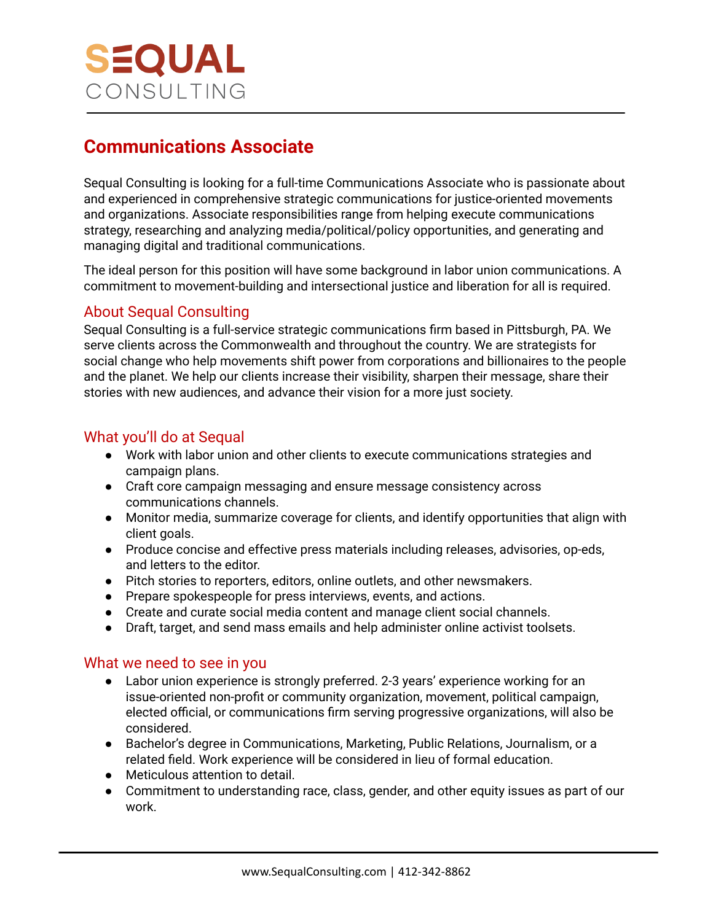

# **Communications Associate**

Sequal Consulting is looking for a full-time Communications Associate who is passionate about and experienced in comprehensive strategic communications for justice-oriented movements and organizations. Associate responsibilities range from helping execute communications strategy, researching and analyzing media/political/policy opportunities, and generating and managing digital and traditional communications.

The ideal person for this position will have some background in labor union communications. A commitment to movement-building and intersectional justice and liberation for all is required.

## About Sequal Consulting

Sequal Consulting is a full-service strategic communications firm based in Pittsburgh, PA. We serve clients across the Commonwealth and throughout the country. We are strategists for social change who help movements shift power from corporations and billionaires to the people and the planet. We help our clients increase their visibility, sharpen their message, share their stories with new audiences, and advance their vision for a more just society.

## What you'll do at Sequal

- Work with labor union and other clients to execute communications strategies and campaign plans.
- Craft core campaign messaging and ensure message consistency across communications channels.
- Monitor media, summarize coverage for clients, and identify opportunities that align with client goals.
- Produce concise and effective press materials including releases, advisories, op-eds, and letters to the editor.
- Pitch stories to reporters, editors, online outlets, and other newsmakers.
- Prepare spokespeople for press interviews, events, and actions.
- Create and curate social media content and manage client social channels.
- Draft, target, and send mass emails and help administer online activist toolsets.

#### What we need to see in you

- Labor union experience is strongly preferred. 2-3 years' experience working for an issue-oriented non-profit or community organization, movement, political campaign, elected official, or communications firm serving progressive organizations, will also be considered.
- Bachelor's degree in Communications, Marketing, Public Relations, Journalism, or a related field. Work experience will be considered in lieu of formal education.
- Meticulous attention to detail.
- Commitment to understanding race, class, gender, and other equity issues as part of our work.